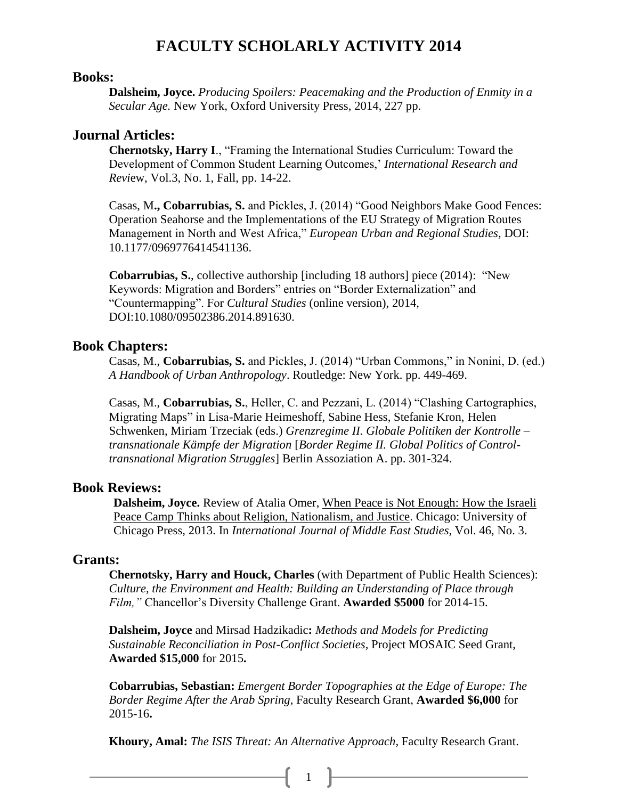# **FACULTY SCHOLARLY ACTIVITY 2014**

### **Books:**

**Dalsheim, Joyce.** *Producing Spoilers: Peacemaking and the Production of Enmity in a Secular Age.* New York, Oxford University Press, 2014, 227 pp.

### **Journal Articles:**

**Chernotsky, Harry I**., "Framing the International Studies Curriculum: Toward the Development of Common Student Learning Outcomes,' *International Research and Revi*ew, Vol.3, No. 1, Fall, pp. 14-22.

Casas, M**., Cobarrubias, S.** and Pickles, J. (2014) "Good Neighbors Make Good Fences: Operation Seahorse and the Implementations of the EU Strategy of Migration Routes Management in North and West Africa," *European Urban and Regional Studies,* DOI: 10.1177/0969776414541136.

**Cobarrubias, S.**, collective authorship [including 18 authors] piece (2014): "New Keywords: Migration and Borders" entries on "Border Externalization" and "Countermapping". For *Cultural Studies* (online version), 2014, DOI:10.1080/09502386.2014.891630.

### **Book Chapters:**

Casas, M., **Cobarrubias, S.** and Pickles, J. (2014) "Urban Commons," in Nonini, D. (ed.) *A Handbook of Urban Anthropology*. Routledge: New York. pp. 449-469.

Casas, M., **Cobarrubias, S.**, Heller, C. and Pezzani, L. (2014) "Clashing Cartographies, Migrating Maps" in Lisa-Marie Heimeshoff, Sabine Hess, Stefanie Kron, Helen Schwenken, Miriam Trzeciak (eds.) *Grenzregime II. Globale Politiken der Kontrolle – transnationale Kämpfe der Migration* [*Border Regime II. Global Politics of Controltransnational Migration Struggles*] Berlin Assoziation A. pp. 301-324.

#### **Book Reviews:**

**Dalsheim, Joyce.** Review of Atalia Omer, When Peace is Not Enough: How the Israeli Peace Camp Thinks about Religion, Nationalism, and Justice. Chicago: University of Chicago Press, 2013. In *International Journal of Middle East Studies*, Vol. 46, No. 3.

### **Grants:**

**Chernotsky, Harry and Houck, Charles** (with Department of Public Health Sciences): *Culture, the Environment and Health: Building an Understanding of Place through Film,"* Chancellor's Diversity Challenge Grant. **Awarded \$5000** for 2014-15.

**Dalsheim, Joyce** and Mirsad Hadzikadic**:** *Methods and Models for Predicting Sustainable Reconciliation in Post-Conflict Societies,* Project MOSAIC Seed Grant, **Awarded \$15,000** for 2015**.**

**Cobarrubias, Sebastian:** *Emergent Border Topographies at the Edge of Europe: The Border Regime After the Arab Spring,* Faculty Research Grant, **Awarded \$6,000** for 2015-16**.**

**Khoury, Amal:** *The ISIS Threat: An Alternative Approach,* Faculty Research Grant.

 $\left\{ \begin{array}{c} 1 \end{array} \right\}$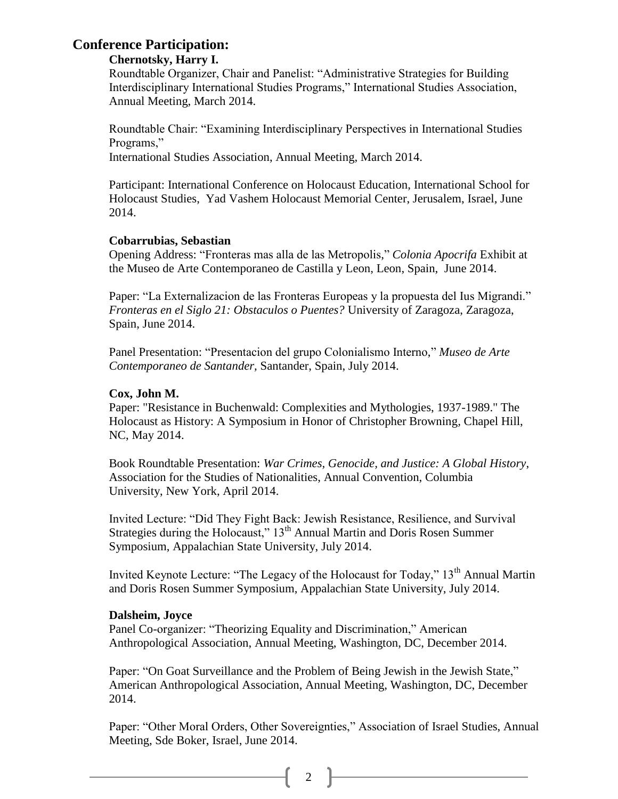## **Conference Participation:**

### **Chernotsky, Harry I.**

Roundtable Organizer, Chair and Panelist: "Administrative Strategies for Building Interdisciplinary International Studies Programs," International Studies Association, Annual Meeting, March 2014.

Roundtable Chair: "Examining Interdisciplinary Perspectives in International Studies Programs,"

International Studies Association, Annual Meeting, March 2014.

Participant: International Conference on Holocaust Education, International School for Holocaust Studies, Yad Vashem Holocaust Memorial Center, Jerusalem, Israel, June 2014.

### **Cobarrubias, Sebastian**

Opening Address: "Fronteras mas alla de las Metropolis," *Colonia Apocrifa* Exhibit at the Museo de Arte Contemporaneo de Castilla y Leon, Leon, Spain, June 2014.

Paper: "La Externalizacion de las Fronteras Europeas y la propuesta del Ius Migrandi." *Fronteras en el Siglo 21: Obstaculos o Puentes?* University of Zaragoza, Zaragoza, Spain, June 2014.

Panel Presentation: "Presentacion del grupo Colonialismo Interno," *Museo de Arte Contemporaneo de Santander,* Santander, Spain, July 2014.

### **Cox, John M.**

Paper: "Resistance in Buchenwald: Complexities and Mythologies, 1937-1989." The Holocaust as History: A Symposium in Honor of Christopher Browning*,* Chapel Hill, NC, May 2014.

Book Roundtable Presentation: *War Crimes, Genocide, and Justice: A Global History*, Association for the Studies of Nationalities, Annual Convention, Columbia University, New York, April 2014.

Invited Lecture: "Did They Fight Back: Jewish Resistance, Resilience, and Survival Strategies during the Holocaust," 13<sup>th</sup> Annual Martin and Doris Rosen Summer Symposium, Appalachian State University, July 2014.

Invited Keynote Lecture: "The Legacy of the Holocaust for Today," 13<sup>th</sup> Annual Martin and Doris Rosen Summer Symposium, Appalachian State University, July 2014.

### **Dalsheim, Joyce**

Panel Co-organizer: "Theorizing Equality and Discrimination," American Anthropological Association, Annual Meeting, Washington, DC, December 2014.

Paper: "On Goat Surveillance and the Problem of Being Jewish in the Jewish State," American Anthropological Association, Annual Meeting, Washington, DC, December 2014.

Paper: "Other Moral Orders, Other Sovereignties," Association of Israel Studies, Annual Meeting, Sde Boker, Israel, June 2014.

 $\begin{bmatrix} 2 \end{bmatrix}$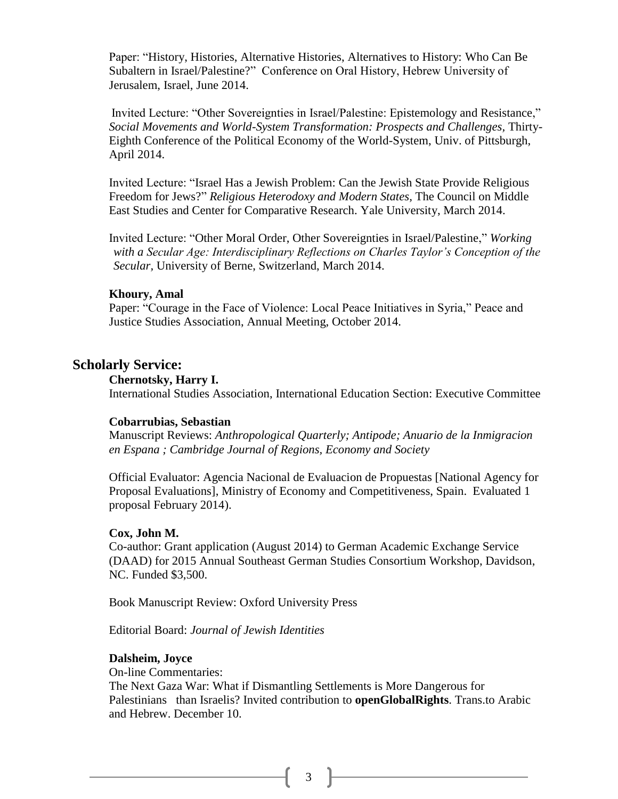Paper: "History, Histories, Alternative Histories, Alternatives to History: Who Can Be Subaltern in Israel/Palestine?" Conference on Oral History, Hebrew University of Jerusalem, Israel, June 2014.

Invited Lecture: "Other Sovereignties in Israel/Palestine: Epistemology and Resistance," *Social Movements and World-System Transformation: Prospects and Challenges,* Thirty-Eighth Conference of the Political Economy of the World-System, Univ. of Pittsburgh, April 2014.

Invited Lecture: "Israel Has a Jewish Problem: Can the Jewish State Provide Religious Freedom for Jews?" *Religious Heterodoxy and Modern States,* The Council on Middle East Studies and Center for Comparative Research. Yale University, March 2014.

Invited Lecture: "Other Moral Order, Other Sovereignties in Israel/Palestine," *Working with a Secular Age: Interdisciplinary Reflections on Charles Taylor's Conception of the Secular,* University of Berne, Switzerland, March 2014.

### **Khoury, Amal**

Paper: "Courage in the Face of Violence: Local Peace Initiatives in Syria," Peace and Justice Studies Association, Annual Meeting, October 2014.

### **Scholarly Service:**

#### **Chernotsky, Harry I.**

International Studies Association, International Education Section: Executive Committee

#### **Cobarrubias, Sebastian**

Manuscript Reviews: *Anthropological Quarterly; Antipode; Anuario de la Inmigracion en Espana ; Cambridge Journal of Regions, Economy and Society* 

Official Evaluator: Agencia Nacional de Evaluacion de Propuestas [National Agency for Proposal Evaluations], Ministry of Economy and Competitiveness, Spain. Evaluated 1 proposal February 2014).

#### **Cox, John M.**

Co-author: Grant application (August 2014) to German Academic Exchange Service (DAAD) for 2015 Annual Southeast German Studies Consortium Workshop, Davidson, NC. Funded \$3,500.

Book Manuscript Review: Oxford University Press

Editorial Board: *Journal of Jewish Identities*

#### **Dalsheim, Joyce**

On-line Commentaries:

The Next Gaza War: What if Dismantling Settlements is More Dangerous for Palestinians than Israelis? Invited contribution to **openGlobalRights**. Trans.to Arabic and Hebrew. December 10.

 $3 \mid$